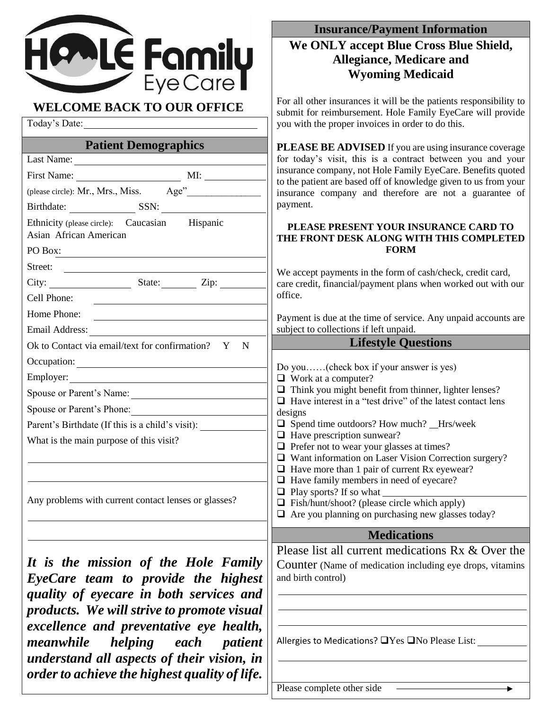

| Today's Date:                                                                      | you with the proper invoices in order to do this.                                                                                 |
|------------------------------------------------------------------------------------|-----------------------------------------------------------------------------------------------------------------------------------|
| <b>Patient Demographics</b>                                                        | <b>PLEASE BE ADVISED</b> If you are using insurance coverage<br>for today's visit, this is a contract between you and your        |
|                                                                                    | insurance company, not Hole Family EyeCare. Benefits quoted<br>to the patient are based off of knowledge given to us from your    |
|                                                                                    |                                                                                                                                   |
| Birthdate: SSN:                                                                    | insurance company and therefore are not a guarantee of<br>payment.                                                                |
| Ethnicity (please circle): Caucasian Hispanic<br>Asian African American<br>PO Box: | PLEASE PRESENT YOUR INSURANCE CARD TO<br>THE FRONT DESK ALONG WITH THIS COMPLETED<br><b>FORM</b>                                  |
| Street:                                                                            |                                                                                                                                   |
|                                                                                    | We accept payments in the form of cash/check, credit card,<br>care credit, financial/payment plans when worked out with our       |
| Cell Phone:                                                                        | office.                                                                                                                           |
| Home Phone:                                                                        | Payment is due at the time of service. Any unpaid accounts are                                                                    |
| Email Address:                                                                     | subject to collections if left unpaid.                                                                                            |
| Ok to Contact via email/text for confirmation? Y N                                 | <b>Example 21 Except Lifestyle Questions</b>                                                                                      |
| Occupation:                                                                        | Do you(check box if your answer is yes)                                                                                           |
|                                                                                    | $\Box$ Work at a computer?                                                                                                        |
| Spouse or Parent's Name:                                                           | $\Box$ Think you might benefit from thinner, lighter lenses?<br>$\Box$ Have interest in a "test drive" of the latest contact lens |
| Spouse or Parent's Phone:                                                          | designs                                                                                                                           |
| Parent's Birthdate (If this is a child's visit):                                   | $\Box$ Spend time outdoors? How much? _Hrs/week                                                                                   |
| What is the main purpose of this visit?                                            | $\Box$ Have prescription sunwear?<br>$\Box$ Prefer not to wear your glasses at times?                                             |
|                                                                                    | $\Box$ Want information on Laser Vision Correction surgery?                                                                       |
|                                                                                    | $\Box$ Have more than 1 pair of current Rx eyewear?                                                                               |
|                                                                                    | $\Box$ Have family members in need of eyecare?<br>$\Box$ Play sports? If so what                                                  |
| Any problems with current contact lenses or glasses?                               | $\Box$ Fish/hunt/shoot? (please circle which apply)                                                                               |
|                                                                                    | $\Box$ Are you planning on purchasing new glasses today?                                                                          |
|                                                                                    | <b>Medications</b>                                                                                                                |
|                                                                                    | Please list all current medications Rx & Over the                                                                                 |
| It is the mission of the Hole Family                                               | <b>Counter</b> (Name of medication including eye drops, vitamins                                                                  |
| EyeCare team to provide the highest                                                | and birth control)                                                                                                                |
| quality of eyecare in both services and                                            |                                                                                                                                   |
| products. We will strive to promote visual                                         |                                                                                                                                   |
| excellence and preventative eye health,                                            |                                                                                                                                   |
| meanwhile<br>helping each<br><i>patient</i>                                        | Allergies to Medications? □ Yes □ No Please List:                                                                                 |
| understand all aspects of their vision, in                                         |                                                                                                                                   |
| order to achieve the highest quality of life.                                      |                                                                                                                                   |

**Insurance/Payment Information We ONLY accept Blue Cross Blue Shield, Allegiance, Medicare and Wyoming Medicaid**

For all other insurances it will be the patients responsibility to submit for reimbursement. Hole Family EyeCare will provide

Please complete other side

¥